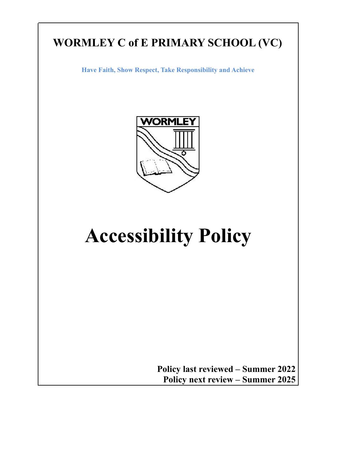# **WORMLEY C of E PRIMARY SCHOOL (VC)**

**Have Faith, Show Respect, Take Responsibility and Achieve**



# **Accessibility Policy**

**Policy last reviewed – Summer 2022 Policy next review – Summer 2025**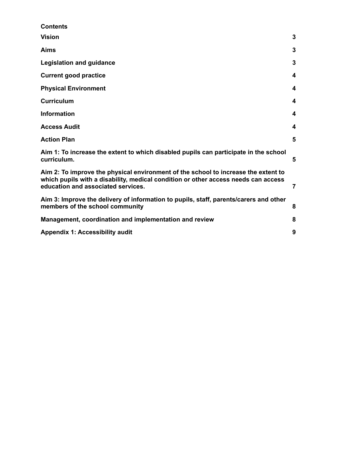| 3 |
|---|
| 3 |
| 3 |
| 4 |
| 4 |
| 4 |
| 4 |
| 4 |
| 5 |
| 5 |
| 7 |
| 8 |
| 8 |
| 9 |
|   |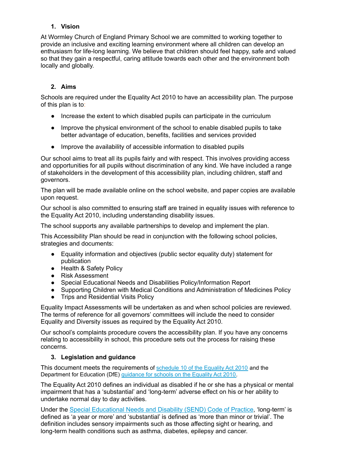# <span id="page-2-0"></span>**1. Vision**

At Wormley Church of England Primary School we are committed to working together to provide an inclusive and exciting learning environment where all children can develop an enthusiasm for life-long learning. We believe that children should feel happy, safe and valued so that they gain a respectful, caring attitude towards each other and the environment both locally and globally.

# <span id="page-2-1"></span>**2. Aims**

Schools are required under the Equality Act 2010 to have an accessibility plan. The purpose of this plan is to:

- Increase the extent to which disabled pupils can participate in the curriculum
- Improve the physical environment of the school to enable disabled pupils to take better advantage of education, benefits, facilities and services provided
- Improve the availability of accessible information to disabled pupils

Our school aims to treat all its pupils fairly and with respect. This involves providing access and opportunities for all pupils without discrimination of any kind. We have included a range of stakeholders in the development of this accessibility plan, including children, staff and governors.

The plan will be made available online on the school website, and paper copies are available upon request.

Our school is also committed to ensuring staff are trained in equality issues with reference to the Equality Act 2010, including understanding disability issues.

The school supports any available partnerships to develop and implement the plan.

This Accessibility Plan should be read in conjunction with the following school policies, strategies and documents:

- Equality information and objectives (public sector equality duty) statement for publication
- Health & Safety Policy
- Risk Assessment
- Special Educational Needs and Disabilities Policy/Information Report
- Supporting Children with Medical Conditions and Administration of Medicines Policy
- Trips and Residential Visits Policy

Equality Impact Assessments will be undertaken as and when school policies are reviewed. The terms of reference for all governors' committees will include the need to consider Equality and Diversity issues as required by the Equality Act 2010.

Our school's complaints procedure covers the accessibility plan. If you have any concerns relating to accessibility in school, this procedure sets out the process for raising these concerns.

# <span id="page-2-2"></span>**3. Legislation and guidance**

This document meets the requirements of [schedule](http://www.legislation.gov.uk/ukpga/2010/15/schedule/10) 10 of the Equality Act 2010 and the Department for Education (DfE) [guidance](https://www.gov.uk/government/publications/equality-act-2010-advice-for-schools) for schools on the Equality Act 2010.

The Equality Act 2010 defines an individual as disabled if he or she has a physical or mental impairment that has a 'substantial' and 'long-term' adverse effect on his or her ability to undertake normal day to day activities.

Under the Special [Educational](https://www.gov.uk/government/publications/send-code-of-practice-0-to-25) Needs and Disability (SEND) Code of Practice, 'long-term' is defined as 'a year or more' and 'substantial' is defined as 'more than minor or trivial'. The definition includes sensory impairments such as those affecting sight or hearing, and long-term health conditions such as asthma, diabetes, epilepsy and cancer.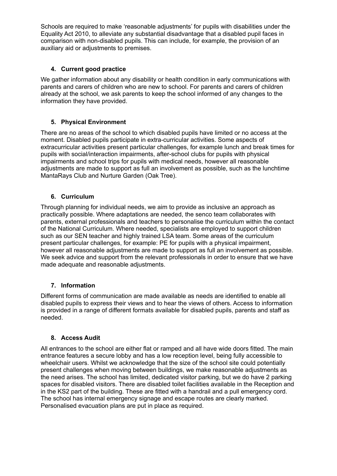Schools are required to make 'reasonable adjustments' for pupils with disabilities under the Equality Act 2010, to alleviate any substantial disadvantage that a disabled pupil faces in comparison with non-disabled pupils. This can include, for example, the provision of an auxiliary aid or adjustments to premises.

# <span id="page-3-0"></span>**4. Current good practice**

We gather information about any disability or health condition in early communications with parents and carers of children who are new to school. For parents and carers of children already at the school, we ask parents to keep the school informed of any changes to the information they have provided.

# <span id="page-3-1"></span>**5. Physical Environment**

There are no areas of the school to which disabled pupils have limited or no access at the moment. Disabled pupils participate in extra-curricular activities. Some aspects of extracurricular activities present particular challenges, for example lunch and break times for pupils with social/interaction impairments, after-school clubs for pupils with physical impairments and school trips for pupils with medical needs, however all reasonable adjustments are made to support as full an involvement as possible, such as the lunchtime MantaRays Club and Nurture Garden (Oak Tree).

# <span id="page-3-2"></span>**6. Curriculum**

Through planning for individual needs, we aim to provide as inclusive an approach as practically possible. Where adaptations are needed, the senco team collaborates with parents, external professionals and teachers to personalise the curriculum within the contact of the National Curriculum. Where needed, specialists are employed to support children such as our SEN teacher and highly trained LSA team. Some areas of the curriculum present particular challenges, for example: PE for pupils with a physical impairment, however all reasonable adjustments are made to support as full an involvement as possible. We seek advice and support from the relevant professionals in order to ensure that we have made adequate and reasonable adjustments.

#### <span id="page-3-3"></span>**7. Information**

Different forms of communication are made available as needs are identified to enable all disabled pupils to express their views and to hear the views of others. Access to information is provided in a range of different formats available for disabled pupils, parents and staff as needed.

#### <span id="page-3-4"></span>**8. Access Audit**

All entrances to the school are either flat or ramped and all have wide doors fitted. The main entrance features a secure lobby and has a low reception level, being fully accessible to wheelchair users. Whilst we acknowledge that the size of the school site could potentially present challenges when moving between buildings, we make reasonable adjustments as the need arises. The school has limited, dedicated visitor parking, but we do have 2 parking spaces for disabled visitors. There are disabled toilet facilities available in the Reception and in the KS2 part of the building. These are fitted with a handrail and a pull emergency cord. The school has internal emergency signage and escape routes are clearly marked. Personalised evacuation plans are put in place as required.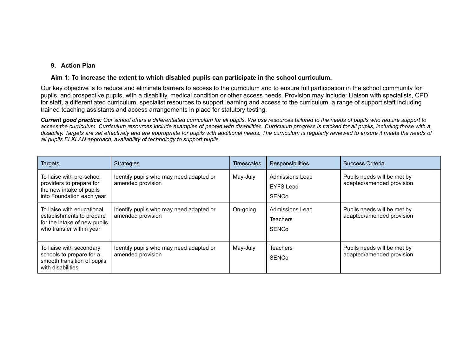#### **9. Action Plan**

#### **Aim 1: To increase the extent to which disabled pupils can participate in the school curriculum.**

Our key objective is to reduce and eliminate barriers to access to the curriculum and to ensure full participation in the school community for pupils, and prospective pupils, with a disability, medical condition or other access needs. Provision may include: Liaison with specialists, CPD for staff, a differentiated curriculum, specialist resources to support learning and access to the curriculum, a range of support staff including trained teaching assistants and access arrangements in place for statutory testing.

Current good practice: Our school offers a differentiated curriculum for all pupils. We use resources tailored to the needs of pupils who require support to access the curriculum. Curriculum resources include examples of people with disabilities. Curriculum progress is tracked for all pupils, including those with a disability. Targets are set effectively and are appropriate for pupils with additional needs. The curriculum is regularly reviewed to ensure it meets the needs of *all pupils ELKLAN approach, availability of technology to support pupils.*

<span id="page-4-1"></span><span id="page-4-0"></span>

| <b>Targets</b>                                                                                                      | <b>Strategies</b>                                            | Timescales | <b>Responsibilities</b>                                   | Success Criteria                                         |
|---------------------------------------------------------------------------------------------------------------------|--------------------------------------------------------------|------------|-----------------------------------------------------------|----------------------------------------------------------|
| To liaise with pre-school<br>providers to prepare for<br>the new intake of pupils<br>into Foundation each year      | Identify pupils who may need adapted or<br>amended provision | May-July   | Admissions Lead<br><b>EYFS Lead</b><br><b>SENCo</b>       | Pupils needs will be met by<br>adapted/amended provision |
| To liaise with educational<br>establishments to prepare<br>for the intake of new pupils<br>who transfer within year | Identify pupils who may need adapted or<br>amended provision | On-going   | <b>Admissions Lead</b><br><b>Teachers</b><br><b>SENCo</b> | Pupils needs will be met by<br>adapted/amended provision |
| To liaise with secondary<br>schools to prepare for a<br>smooth transition of pupils<br>with disabilities            | Identify pupils who may need adapted or<br>amended provision | May-July   | <b>Teachers</b><br><b>SENCo</b>                           | Pupils needs will be met by<br>adapted/amended provision |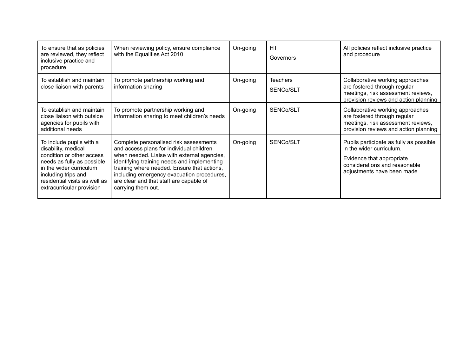| To ensure that as policies<br>are reviewed, they reflect<br>inclusive practice and<br>procedure                                                                                                                            | When reviewing policy, ensure compliance<br>with the Equalities Act 2010                                                                                                                                                                                                                                                                       | On-going | HT<br>Governors              | All policies reflect inclusive practice<br>and procedure                                                                                                        |
|----------------------------------------------------------------------------------------------------------------------------------------------------------------------------------------------------------------------------|------------------------------------------------------------------------------------------------------------------------------------------------------------------------------------------------------------------------------------------------------------------------------------------------------------------------------------------------|----------|------------------------------|-----------------------------------------------------------------------------------------------------------------------------------------------------------------|
| To establish and maintain<br>close liaison with parents                                                                                                                                                                    | To promote partnership working and<br>information sharing                                                                                                                                                                                                                                                                                      | On-going | <b>Teachers</b><br>SENCo/SLT | Collaborative working approaches<br>are fostered through regular<br>meetings, risk assessment reviews,<br>provision reviews and action planning                 |
| To establish and maintain<br>close liaison with outside<br>agencies for pupils with<br>additional needs                                                                                                                    | To promote partnership working and<br>information sharing to meet children's needs                                                                                                                                                                                                                                                             | On-going | SENCo/SLT                    | Collaborative working approaches<br>are fostered through regular<br>meetings, risk assessment reviews,<br>provision reviews and action planning                 |
| To include pupils with a<br>disability, medical<br>condition or other access<br>needs as fully as possible<br>in the wider curriculum<br>including trips and<br>residential visits as well as<br>extracurricular provision | Complete personalised risk assessments<br>and access plans for individual children<br>when needed. Liaise with external agencies,<br>identifying training needs and implementing<br>training where needed. Ensure that actions,<br>including emergency evacuation procedures,<br>are clear and that staff are capable of<br>carrying them out. | On-going | SENCo/SLT                    | Pupils participate as fully as possible<br>in the wider curriculum.<br>Evidence that appropriate<br>considerations and reasonable<br>adjustments have been made |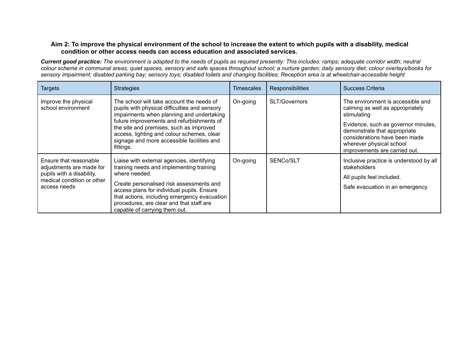#### Aim 2: To improve the physical environment of the school to increase the extent to which pupils with a disability, medical **condition or other access needs can access education and associated services.**

Current good practice: The environment is adapted to the needs of pupils as required presently: This includes: ramps; adequate corridor width; neutral colour scheme in communal areas; quiet spaces, sensory and safe spaces throughout school; a nurture garden; daily sensory diet; colour overlays/books for sensory impairment; disabled parking bay; sensory toys; disabled toilets and changing facilities; Reception area is at wheelchair-accessible height

<span id="page-6-0"></span>

| <b>Targets</b>                                                                                                                | <b>Strategies</b>                                                                                                                                                                                                                                                                                                                        | <b>Timescales</b> | Responsibilities | Success Criteria                                                                                                                                                                                                                                          |
|-------------------------------------------------------------------------------------------------------------------------------|------------------------------------------------------------------------------------------------------------------------------------------------------------------------------------------------------------------------------------------------------------------------------------------------------------------------------------------|-------------------|------------------|-----------------------------------------------------------------------------------------------------------------------------------------------------------------------------------------------------------------------------------------------------------|
| Improve the physical<br>school environment                                                                                    | The school will take account the needs of<br>pupils with physical difficulties and sensory<br>impairments when planning and undertaking<br>future improvements and refurbishments of<br>the site and premises, such as improved<br>access, lighting and colour schemes, clear<br>signage and more accessible facilities and<br>fittings. | On-going          | SLT/Governors    | The environment is accessible and<br>calming as well as appropriately<br>stimulating<br>Evidence, such as governor minutes,<br>demonstrate that appropriate<br>considerations have been made<br>wherever physical school<br>improvements are carried out. |
| Ensure that reasonable<br>adjustments are made for<br>pupils with a disability,<br>medical condition or other<br>access needs | Liaise with external agencies, identifying<br>training needs and implementing training<br>where needed.<br>Create personalised risk assessments and<br>access plans for individual pupils. Ensure<br>that actions, including emergency evacuation<br>procedures, are clear and that staff are<br>capable of carrying them out.           | On-going          | SENCo/SLT        | Inclusive practice is understood by all<br>stakeholders<br>All pupils feel included.<br>Safe evacuation in an emergency.                                                                                                                                  |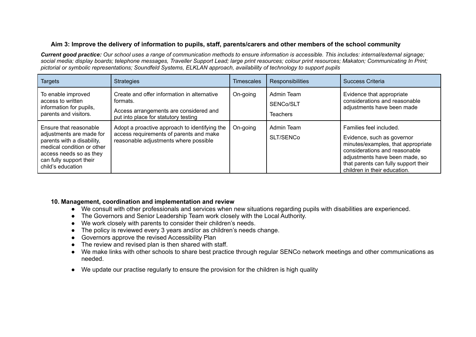# Aim 3: Improve the delivery of information to pupils, staff, parents/carers and other members of the school community

Current good practice: Our school uses a range of communication methods to ensure information is accessible. This includes: internal/external signage; social media; display boards; telephone messages, Traveller Support Lead; large print resources; colour print resources; Makaton; Communicating In Print; *pictorial or symbolic representations; Soundfeld Systems, ELKLAN approach, availability of technology to support pupils*

| <b>Targets</b>                                                                                                                                                                            | <b>Strategies</b>                                                                                                                         | <b>Timescales</b> | <b>Responsibilities</b>                    | Success Criteria                                                                                                                                                                                                                       |
|-------------------------------------------------------------------------------------------------------------------------------------------------------------------------------------------|-------------------------------------------------------------------------------------------------------------------------------------------|-------------------|--------------------------------------------|----------------------------------------------------------------------------------------------------------------------------------------------------------------------------------------------------------------------------------------|
| To enable improved<br>access to written<br>information for pupils,<br>parents and visitors.                                                                                               | Create and offer information in alternative<br>formats.<br>Access arrangements are considered and<br>put into place for statutory testing | On-going          | Admin Team<br>SENCo/SLT<br><b>Teachers</b> | Evidence that appropriate<br>considerations and reasonable<br>adjustments have been made                                                                                                                                               |
| Ensure that reasonable<br>adjustments are made for<br>parents with a disability,<br>medical condition or other<br>access needs so as they<br>can fully support their<br>child's education | Adopt a proactive approach to identifying the<br>access requirements of parents and make<br>reasonable adjustments where possible         | On-going          | Admin Team<br>SLT/SENCo                    | Families feel included.<br>Evidence, such as governor<br>minutes/examples, that appropriate<br>considerations and reasonable<br>adjustments have been made, so<br>that parents can fully support their<br>children in their education. |

#### <span id="page-7-0"></span>**10. Management, coordination and implementation and review**

- **●** We consult with other professionals and services when new situations regarding pupils with disabilities are experienced.
- **●** The Governors and Senior Leadership Team work closely with the Local Authority.
- **●** We work closely with parents to consider their children's needs.
- **●** The policy is reviewed every 3 years and/or as children's needs change.
- **●** Governors approve the revised Accessibility Plan
- **●** The review and revised plan is then shared with staff.
- **●** We make links with other schools to share best practice through regular SENCo network meetings and other communications as needed.
- <span id="page-7-1"></span>● We update our practise regularly to ensure the provision for the children is high quality